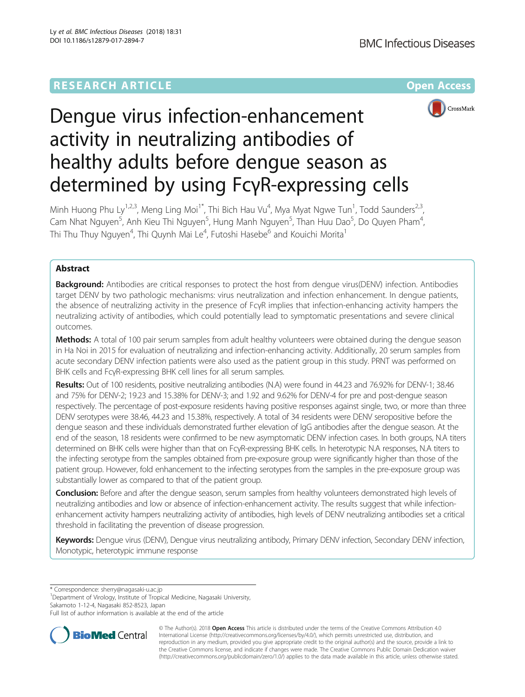# **RESEARCH ARTICLE Example 2014 12:30 The Contract of Contract Article 2014 12:30 The Open Access**



# Dengue virus infection-enhancement activity in neutralizing antibodies of healthy adults before dengue season as determined by using FcγR-expressing cells

Minh Huong Phu Ly<sup>1,2,3</sup>, Meng Ling Moi<sup>1\*</sup>, Thi Bich Hau Vu<sup>4</sup>, Mya Myat Ngwe Tun<sup>1</sup>, Todd Saunders<sup>2,3</sup>, Cam Nhat Nguyen<sup>5</sup>, Anh Kieu Thi Nguyen<sup>5</sup>, Hung Manh Nguyen<sup>5</sup>, Than Huu Dao<sup>5</sup>, Do Quyen Pham<sup>4</sup> , Thi Thu Thuy Nguyen<sup>4</sup>, Thi Quynh Mai Le<sup>4</sup>, Futoshi Hasebe<sup>6</sup> and Kouichi Morita<sup>1</sup>

# Abstract

**Background:** Antibodies are critical responses to protect the host from dengue virus(DENV) infection. Antibodies target DENV by two pathologic mechanisms: virus neutralization and infection enhancement. In dengue patients, the absence of neutralizing activity in the presence of FcγR implies that infection-enhancing activity hampers the neutralizing activity of antibodies, which could potentially lead to symptomatic presentations and severe clinical outcomes.

Methods: A total of 100 pair serum samples from adult healthy volunteers were obtained during the dengue season in Ha Noi in 2015 for evaluation of neutralizing and infection-enhancing activity. Additionally, 20 serum samples from acute secondary DENV infection patients were also used as the patient group in this study. PRNT was performed on BHK cells and FcγR-expressing BHK cell lines for all serum samples.

Results: Out of 100 residents, positive neutralizing antibodies (N.A) were found in 44.23 and 76.92% for DENV-1; 38.46 and 75% for DENV-2; 19.23 and 15.38% for DENV-3; and 1.92 and 9.62% for DENV-4 for pre and post-dengue season respectively. The percentage of post-exposure residents having positive responses against single, two, or more than three DENV serotypes were 38.46, 44.23 and 15.38%, respectively. A total of 34 residents were DENV seropositive before the dengue season and these individuals demonstrated further elevation of IgG antibodies after the dengue season. At the end of the season, 18 residents were confirmed to be new asymptomatic DENV infection cases. In both groups, N.A titers determined on BHK cells were higher than that on FcγR-expressing BHK cells. In heterotypic N.A responses, N.A titers to the infecting serotype from the samples obtained from pre-exposure group were significantly higher than those of the patient group. However, fold enhancement to the infecting serotypes from the samples in the pre-exposure group was substantially lower as compared to that of the patient group.

Conclusion: Before and after the dengue season, serum samples from healthy volunteers demonstrated high levels of neutralizing antibodies and low or absence of infection-enhancement activity. The results suggest that while infectionenhancement activity hampers neutralizing activity of antibodies, high levels of DENV neutralizing antibodies set a critical threshold in facilitating the prevention of disease progression.

Keywords: Dengue virus (DENV), Dengue virus neutralizing antibody, Primary DENV infection, Secondary DENV infection, Monotypic, heterotypic immune response

\* Correspondence: [sherry@nagasaki-u.ac.jp](mailto:sherry@nagasaki-u.ac.jp) <sup>1</sup>

Department of Virology, Institute of Tropical Medicine, Nagasaki University, Sakamoto 1-12-4, Nagasaki 852-8523, Japan

Full list of author information is available at the end of the article



© The Author(s). 2018 Open Access This article is distributed under the terms of the Creative Commons Attribution 4.0 International License [\(http://creativecommons.org/licenses/by/4.0/](http://creativecommons.org/licenses/by/4.0/)), which permits unrestricted use, distribution, and reproduction in any medium, provided you give appropriate credit to the original author(s) and the source, provide a link to the Creative Commons license, and indicate if changes were made. The Creative Commons Public Domain Dedication waiver [\(http://creativecommons.org/publicdomain/zero/1.0/](http://creativecommons.org/publicdomain/zero/1.0/)) applies to the data made available in this article, unless otherwise stated.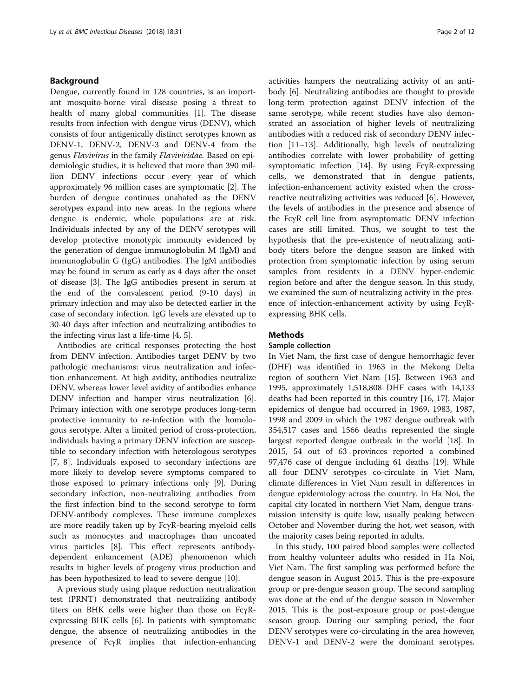# Background

Dengue, currently found in 128 countries, is an important mosquito-borne viral disease posing a threat to health of many global communities [\[1](#page-11-0)]. The disease results from infection with dengue virus (DENV), which consists of four antigenically distinct serotypes known as DENV-1, DENV-2, DENV-3 and DENV-4 from the genus Flavivirus in the family Flaviviridae. Based on epidemiologic studies, it is believed that more than 390 million DENV infections occur every year of which approximately 96 million cases are symptomatic [\[2\]](#page-11-0). The burden of dengue continues unabated as the DENV serotypes expand into new areas. In the regions where dengue is endemic, whole populations are at risk. Individuals infected by any of the DENV serotypes will develop protective monotypic immunity evidenced by the generation of dengue immunoglobulin M (IgM) and immunoglobulin G (IgG) antibodies. The IgM antibodies may be found in serum as early as 4 days after the onset of disease [\[3](#page-11-0)]. The IgG antibodies present in serum at the end of the convalescent period (9-10 days) in primary infection and may also be detected earlier in the case of secondary infection. IgG levels are elevated up to 30-40 days after infection and neutralizing antibodies to the infecting virus last a life-time [[4](#page-11-0), [5\]](#page-11-0).

Antibodies are critical responses protecting the host from DENV infection. Antibodies target DENV by two pathologic mechanisms: virus neutralization and infection enhancement. At high avidity, antibodies neutralize DENV, whereas lower level avidity of antibodies enhance DENV infection and hamper virus neutralization [\[6](#page-11-0)]. Primary infection with one serotype produces long-term protective immunity to re-infection with the homologous serotype. After a limited period of cross-protection, individuals having a primary DENV infection are susceptible to secondary infection with heterologous serotypes [[7, 8\]](#page-11-0). Individuals exposed to secondary infections are more likely to develop severe symptoms compared to those exposed to primary infections only [[9\]](#page-11-0). During secondary infection, non-neutralizing antibodies from the first infection bind to the second serotype to form DENV-antibody complexes. These immune complexes are more readily taken up by FcγR-bearing myeloid cells such as monocytes and macrophages than uncoated virus particles [[8\]](#page-11-0). This effect represents antibodydependent enhancement (ADE) phenomenon which results in higher levels of progeny virus production and has been hypothesized to lead to severe dengue [\[10](#page-11-0)].

A previous study using plaque reduction neutralization test (PRNT) demonstrated that neutralizing antibody titers on BHK cells were higher than those on FcγRexpressing BHK cells [[6](#page-11-0)]. In patients with symptomatic dengue, the absence of neutralizing antibodies in the presence of FcγR implies that infection-enhancing activities hampers the neutralizing activity of an antibody [\[6](#page-11-0)]. Neutralizing antibodies are thought to provide long-term protection against DENV infection of the same serotype, while recent studies have also demonstrated an association of higher levels of neutralizing antibodies with a reduced risk of secondary DENV infection [[11](#page-11-0)–[13\]](#page-11-0). Additionally, high levels of neutralizing antibodies correlate with lower probability of getting symptomatic infection [[14\]](#page-11-0). By using FcγR-expressing cells, we demonstrated that in dengue patients, infection-enhancement activity existed when the crossreactive neutralizing activities was reduced [\[6\]](#page-11-0). However, the levels of antibodies in the presence and absence of the FcγR cell line from asymptomatic DENV infection cases are still limited. Thus, we sought to test the hypothesis that the pre-existence of neutralizing antibody titers before the dengue season are linked with protection from symptomatic infection by using serum samples from residents in a DENV hyper-endemic region before and after the dengue season. In this study, we examined the sum of neutralizing activity in the presence of infection-enhancement activity by using FcγRexpressing BHK cells.

# Methods

#### Sample collection

In Viet Nam, the first case of dengue hemorrhagic fever (DHF) was identified in 1963 in the Mekong Delta region of southern Viet Nam [[15](#page-11-0)]. Between 1963 and 1995, approximately 1,518,808 DHF cases with 14,133 deaths had been reported in this country [\[16](#page-11-0), [17](#page-11-0)]. Major epidemics of dengue had occurred in 1969, 1983, 1987, 1998 and 2009 in which the 1987 dengue outbreak with 354,517 cases and 1566 deaths represented the single largest reported dengue outbreak in the world [\[18](#page-11-0)]. In 2015, 54 out of 63 provinces reported a combined 97,476 case of dengue including 61 deaths [\[19](#page-11-0)]. While all four DENV serotypes co-circulate in Viet Nam, climate differences in Viet Nam result in differences in dengue epidemiology across the country. In Ha Noi, the capital city located in northern Viet Nam, dengue transmission intensity is quite low, usually peaking between October and November during the hot, wet season, with the majority cases being reported in adults.

In this study, 100 paired blood samples were collected from healthy volunteer adults who resided in Ha Noi, Viet Nam. The first sampling was performed before the dengue season in August 2015. This is the pre-exposure group or pre-dengue season group. The second sampling was done at the end of the dengue season in November 2015. This is the post-exposure group or post-dengue season group. During our sampling period, the four DENV serotypes were co-circulating in the area however, DENV-1 and DENV-2 were the dominant serotypes.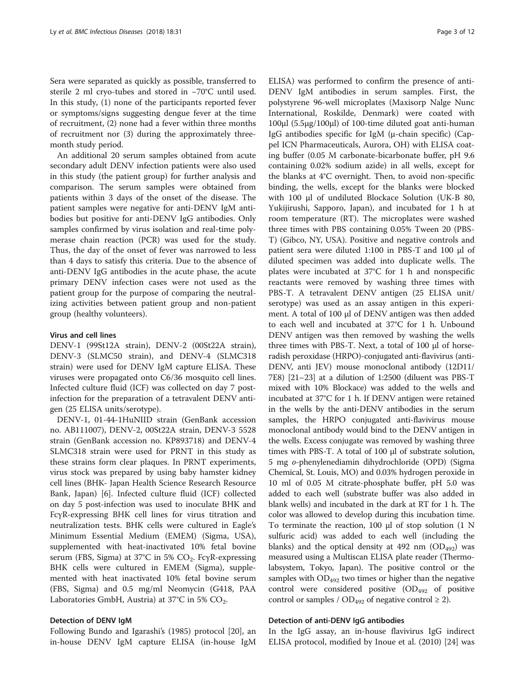Sera were separated as quickly as possible, transferred to sterile 2 ml cryo-tubes and stored in −70°C until used. In this study, (1) none of the participants reported fever or symptoms/signs suggesting dengue fever at the time of recruitment, (2) none had a fever within three months of recruitment nor (3) during the approximately threemonth study period.

An additional 20 serum samples obtained from acute secondary adult DENV infection patients were also used in this study (the patient group) for further analysis and comparison. The serum samples were obtained from patients within 3 days of the onset of the disease. The patient samples were negative for anti-DENV IgM antibodies but positive for anti-DENV IgG antibodies. Only samples confirmed by virus isolation and real-time polymerase chain reaction (PCR) was used for the study. Thus, the day of the onset of fever was narrowed to less than 4 days to satisfy this criteria. Due to the absence of anti-DENV IgG antibodies in the acute phase, the acute primary DENV infection cases were not used as the patient group for the purpose of comparing the neutralizing activities between patient group and non-patient group (healthy volunteers).

# Virus and cell lines

DENV-1 (99St12A strain), DENV-2 (00St22A strain), DENV-3 (SLMC50 strain), and DENV-4 (SLMC318 strain) were used for DENV IgM capture ELISA. These viruses were propagated onto C6/36 mosquito cell lines. Infected culture fluid (ICF) was collected on day 7 postinfection for the preparation of a tetravalent DENV antigen (25 ELISA units/serotype).

DENV-1, 01-44-1HuNIID strain (GenBank accession no. AB111007), DENV-2, 00St22A strain, DENV-3 5528 strain (GenBank accession no. KP893718) and DENV-4 SLMC318 strain were used for PRNT in this study as these strains form clear plaques. In PRNT experiments, virus stock was prepared by using baby hamster kidney cell lines (BHK- Japan Health Science Research Resource Bank, Japan) [\[6\]](#page-11-0). Infected culture fluid (ICF) collected on day 5 post-infection was used to inoculate BHK and FcγR-expressing BHK cell lines for virus titration and neutralization tests. BHK cells were cultured in Eagle's Minimum Essential Medium (EMEM) (Sigma, USA), supplemented with heat-inactivated 10% fetal bovine serum (FBS, Sigma) at 37°C in 5%  $CO_2$ . FcγR-expressing BHK cells were cultured in EMEM (Sigma), supplemented with heat inactivated 10% fetal bovine serum (FBS, Sigma) and 0.5 mg/ml Neomycin (G418, PAA Laboratories GmbH, Austria) at 37°C in 5%  $CO_2$ .

#### Detection of DENV IgM

Following Bundo and Igarashi's (1985) protocol [[20\]](#page-11-0), an in-house DENV IgM capture ELISA (in-house IgM ELISA) was performed to confirm the presence of anti-DENV IgM antibodies in serum samples. First, the polystyrene 96-well microplates (Maxisorp Nalge Nunc International, Roskilde, Denmark) were coated with 100μl (5.5μg/100μl) of 100-time diluted goat anti-human IgG antibodies specific for IgM (μ-chain specific) (Cappel ICN Pharmaceuticals, Aurora, OH) with ELISA coating buffer (0.05 M carbonate-bicarbonate buffer, pH 9.6 containing 0.02% sodium azide) in all wells, except for the blanks at 4°C overnight. Then, to avoid non-specific binding, the wells, except for the blanks were blocked with 100 μl of undiluted Blockace Solution (UK-B 80, Yukijirushi, Sapporo, Japan), and incubated for 1 h at room temperature (RT). The microplates were washed three times with PBS containing 0.05% Tween 20 (PBS-T) (Gibco, NY, USA). Positive and negative controls and patient sera were diluted 1:100 in PBS-T and 100 μl of diluted specimen was added into duplicate wells. The plates were incubated at 37°C for 1 h and nonspecific reactants were removed by washing three times with PBS-T. A tetravalent DENV antigen (25 ELISA unit/ serotype) was used as an assay antigen in this experiment. A total of 100 μl of DENV antigen was then added to each well and incubated at 37°C for 1 h. Unbound DENV antigen was then removed by washing the wells three times with PBS-T. Next, a total of 100 μl of horseradish peroxidase (HRPO)-conjugated anti-flavivirus (anti-DENV, anti JEV) mouse monoclonal antibody (12D11/ 7E8) [[21](#page-11-0)–[23](#page-11-0)] at a dilution of 1:2500 (diluent was PBS-T mixed with 10% Blockace) was added to the wells and incubated at 37°C for 1 h. If DENV antigen were retained in the wells by the anti-DENV antibodies in the serum samples, the HRPO conjugated anti-flavivirus mouse monoclonal antibody would bind to the DENV antigen in the wells. Excess conjugate was removed by washing three times with PBS-T. A total of 100 μl of substrate solution, 5 mg o-phenylenediamin dihydrochloride (OPD) (Sigma Chemical, St. Louis, MO) and 0.03% hydrogen peroxide in 10 ml of 0.05 M citrate-phosphate buffer, pH 5.0 was added to each well (substrate buffer was also added in blank wells) and incubated in the dark at RT for 1 h. The color was allowed to develop during this incubation time. To terminate the reaction, 100 μl of stop solution (1 N sulfuric acid) was added to each well (including the blanks) and the optical density at 492 nm  $(OD_{492})$  was measured using a Multiscan ELISA plate reader (Thermolabsystem, Tokyo, Japan). The positive control or the samples with  $OD_{492}$  two times or higher than the negative control were considered positive  $(OD_{492}$  of positive control or samples /  $OD_{492}$  of negative control  $\geq 2$ ).

# Detection of anti-DENV IgG antibodies

In the IgG assay, an in-house flavivirus IgG indirect ELISA protocol, modified by Inoue et al. (2010) [\[24](#page-11-0)] was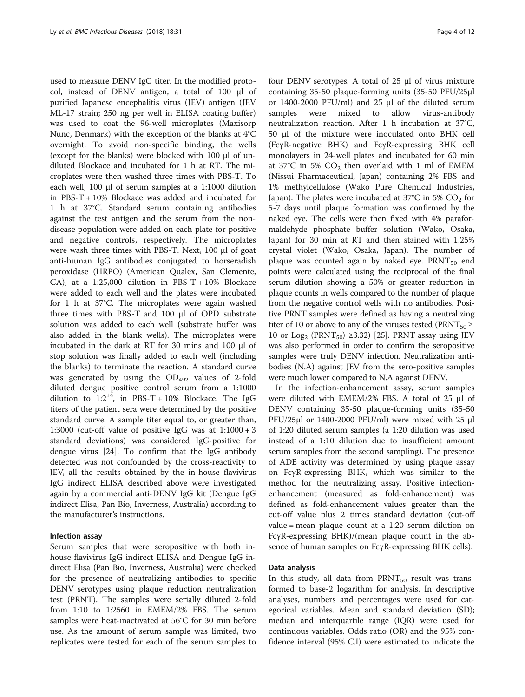used to measure DENV IgG titer. In the modified protocol, instead of DENV antigen, a total of 100 μl of purified Japanese encephalitis virus (JEV) antigen (JEV ML-17 strain; 250 ng per well in ELISA coating buffer) was used to coat the 96-well microplates (Maxisorp Nunc, Denmark) with the exception of the blanks at 4°C overnight. To avoid non-specific binding, the wells (except for the blanks) were blocked with 100 μl of undiluted Blockace and incubated for 1 h at RT. The microplates were then washed three times with PBS-T. To each well, 100 μl of serum samples at a 1:1000 dilution in PBS-T + 10% Blockace was added and incubated for 1 h at 37°C. Standard serum containing antibodies against the test antigen and the serum from the nondisease population were added on each plate for positive and negative controls, respectively. The microplates were wash three times with PBS-T. Next, 100 μl of goat anti-human IgG antibodies conjugated to horseradish peroxidase (HRPO) (American Qualex, San Clemente, CA), at a 1:25,000 dilution in PBS-T +  $10\%$  Blockace were added to each well and the plates were incubated for 1 h at 37°C. The microplates were again washed three times with PBS-T and 100 μl of OPD substrate solution was added to each well (substrate buffer was also added in the blank wells). The microplates were incubated in the dark at RT for 30 mins and 100 μl of stop solution was finally added to each well (including the blanks) to terminate the reaction. A standard curve was generated by using the  $OD_{492}$  values of 2-fold diluted dengue positive control serum from a 1:1000 dilution to  $1:2^{14}$ , in PBS-T + 10% Blockace. The IgG titers of the patient sera were determined by the positive standard curve. A sample titer equal to, or greater than, 1:3000 (cut-off value of positive IgG was at  $1:1000 + 3$ standard deviations) was considered IgG-positive for dengue virus [[24\]](#page-11-0). To confirm that the IgG antibody detected was not confounded by the cross-reactivity to JEV, all the results obtained by the in-house flavivirus IgG indirect ELISA described above were investigated again by a commercial anti-DENV IgG kit (Dengue IgG indirect Elisa, Pan Bio, Inverness, Australia) according to the manufacturer's instructions.

# Infection assay

Serum samples that were seropositive with both inhouse flavivirus IgG indirect ELISA and Dengue IgG indirect Elisa (Pan Bio, Inverness, Australia) were checked for the presence of neutralizing antibodies to specific DENV serotypes using plaque reduction neutralization test (PRNT). The samples were serially diluted 2-fold from 1:10 to 1:2560 in EMEM/2% FBS. The serum samples were heat-inactivated at 56°C for 30 min before use. As the amount of serum sample was limited, two replicates were tested for each of the serum samples to four DENV serotypes. A total of 25 μl of virus mixture containing 35-50 plaque-forming units (35-50 PFU/25μl or  $1400-2000$  PFU/ml) and  $25 \mu l$  of the diluted serum samples were mixed to allow virus-antibody neutralization reaction. After 1 h incubation at 37°C, 50 μl of the mixture were inoculated onto BHK cell (FcγR-negative BHK) and FcγR-expressing BHK cell monolayers in 24-well plates and incubated for 60 min at 37°C in 5%  $CO<sub>2</sub>$  then overlaid with 1 ml of EMEM (Nissui Pharmaceutical, Japan) containing 2% FBS and 1% methylcellulose (Wako Pure Chemical Industries, Japan). The plates were incubated at  $37^{\circ}$ C in 5% CO<sub>2</sub> for 5-7 days until plaque formation was confirmed by the naked eye. The cells were then fixed with 4% paraformaldehyde phosphate buffer solution (Wako, Osaka, Japan) for 30 min at RT and then stained with 1.25% crystal violet (Wako, Osaka, Japan). The number of plaque was counted again by naked eye.  $PRNT_{50}$  end points were calculated using the reciprocal of the final serum dilution showing a 50% or greater reduction in plaque counts in wells compared to the number of plaque from the negative control wells with no antibodies. Positive PRNT samples were defined as having a neutralizing titer of 10 or above to any of the viruses tested (PRNT<sub>50</sub> ≥ 10 or  $Log_2$  (PRNT<sub>50</sub>) ≥3.32) [\[25\]](#page-11-0). PRNT assay using JEV was also performed in order to confirm the seropositive samples were truly DENV infection. Neutralization antibodies (N.A) against JEV from the sero-positive samples were much lower compared to N.A against DENV.

In the infection-enhancement assay, serum samples were diluted with EMEM/2% FBS. A total of 25 μl of DENV containing 35-50 plaque-forming units (35-50 PFU/25μl or 1400-2000 PFU/ml) were mixed with 25 μl of 1:20 diluted serum samples (a 1:20 dilution was used instead of a 1:10 dilution due to insufficient amount serum samples from the second sampling). The presence of ADE activity was determined by using plaque assay on FcγR-expressing BHK, which was similar to the method for the neutralizing assay. Positive infectionenhancement (measured as fold-enhancement) was defined as fold-enhancement values greater than the cut-off value plus 2 times standard deviation (cut-off value = mean plaque count at a 1:20 serum dilution on FcγR-expressing BHK)/(mean plaque count in the absence of human samples on FcγR-expressing BHK cells).

# Data analysis

In this study, all data from  $\text{PRNT}_{50}$  result was transformed to base-2 logarithm for analysis. In descriptive analyses, numbers and percentages were used for categorical variables. Mean and standard deviation (SD); median and interquartile range (IQR) were used for continuous variables. Odds ratio (OR) and the 95% confidence interval (95% C.I) were estimated to indicate the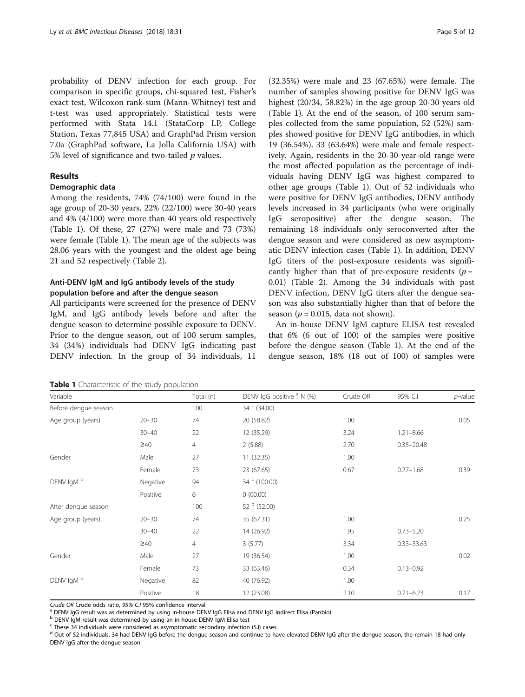<span id="page-4-0"></span>probability of DENV infection for each group. For comparison in specific groups, chi-squared test, Fisher's exact test, Wilcoxon rank-sum (Mann-Whitney) test and t-test was used appropriately. Statistical tests were performed with Stata 14.1 (StataCorp LP, College Station, Texas 77,845 USA) and GraphPad Prism version 7.0a (GraphPad software, La Jolla California USA) with 5% level of significance and two-tailed  $p$  values.

# Results

# Demographic data

Among the residents, 74% (74/100) were found in the age group of 20-30 years, 22% (22/100) were 30-40 years and 4% (4/100) were more than 40 years old respectively (Table 1). Of these, 27 (27%) were male and 73 (73%) were female (Table 1). The mean age of the subjects was 28.06 years with the youngest and the oldest age being 21 and 52 respectively (Table [2\)](#page-5-0).

# Anti-DENV IgM and IgG antibody levels of the study population before and after the dengue season

All participants were screened for the presence of DENV IgM, and IgG antibody levels before and after the dengue season to determine possible exposure to DENV. Prior to the dengue season, out of 100 serum samples, 34 (34%) individuals had DENV IgG indicating past DENV infection. In the group of 34 individuals, 11

(32.35%) were male and 23 (67.65%) were female. The number of samples showing positive for DENV IgG was highest (20/34, 58.82%) in the age group 20-30 years old (Table 1). At the end of the season, of 100 serum samples collected from the same population, 52 (52%) samples showed positive for DENV IgG antibodies, in which 19 (36.54%), 33 (63.64%) were male and female respectively. Again, residents in the 20-30 year-old range were the most affected population as the percentage of individuals having DENV IgG was highest compared to other age groups (Table 1). Out of 52 individuals who were positive for DENV IgG antibodies, DENV antibody levels increased in 34 participants (who were originally IgG seropositive) after the dengue season. The remaining 18 individuals only seroconverted after the dengue season and were considered as new asymptomatic DENV infection cases (Table 1). In addition, DENV IgG titers of the post-exposure residents was significantly higher than that of pre-exposure residents ( $p =$ 0.01) (Table [2\)](#page-5-0). Among the 34 individuals with past DENV infection, DENV IgG titers after the dengue season was also substantially higher than that of before the season ( $p = 0.015$ , data not shown).

An in-house DENV IgM capture ELISA test revealed that 6% (6 out of 100) of the samples were positive before the dengue season (Table 1). At the end of the dengue season, 18% (18 out of 100) of samples were

| Variable              |           | Total (n)      | DENV IgG positive <sup>a</sup> N (%) | Crude OR | 95% C.I        | $p$ -value |
|-----------------------|-----------|----------------|--------------------------------------|----------|----------------|------------|
| Before dengue season  |           | 100            | 34 $\textdegree$ (34.00)             |          |                |            |
| Age group (years)     | $20 - 30$ | 74             | 20 (58.82)                           | 1.00     |                | 0.05       |
|                       | $30 - 40$ | 22             | 12 (35.29)                           | 3.24     | $1.21 - 8.66$  |            |
|                       | $\geq 40$ | $\overline{4}$ | 2(5.88)                              | 2.70     | $0.35 - 20.48$ |            |
| Gender                | Male      | 27             | 11 (32.35)                           | 1.00     |                |            |
|                       | Female    | 73             | 23 (67.65)                           | 0.67     | $0.27 - 1.68$  | 0.39       |
| DENV IgM <sup>b</sup> | Negative  | 94             | $34^{\circ}$ (100.00)                |          |                |            |
|                       | Positive  | 6              | 0(00.00)                             |          |                |            |
| After dengue season   |           | 100            | 52 $d$ (52.00)                       |          |                |            |
| Age group (years)     | $20 - 30$ | 74             | 35 (67.31)                           | 1.00     |                | 0.25       |
|                       | $30 - 40$ | 22             | 14 (26.92)                           | 1.95     | $0.73 - 5.20$  |            |
|                       | $\geq 40$ | $\overline{4}$ | 3(5.77)                              | 3.34     | $0.33 - 33.63$ |            |
| Gender                | Male      | 27             | 19 (36.54)                           | 1.00     |                | 0.02       |
|                       | Female    | 73             | 33 (63.46)                           | 0.34     | $0.13 - 0.92$  |            |
| DENV IgM <sup>b</sup> | Negative  | 82             | 40 (76.92)                           | 1.00     |                |            |
|                       | Positive  | 18             | 12 (23.08)                           | 2.10     | $0.71 - 6.23$  | 0.17       |

Crude OR Crude odds ratio, 95% C.I 95% confidence interval<br><sup>a</sup> DENV IgG result was as determined by using in-house DENV IgG Elisa and DENV IgG indirect Elisa (Panbio)

<sup>b</sup> DENV IgM result was determined by using an in-house DENV IgM Elisa test

 $c$  These 34 individuals were considered as asymptomatic secondary infection (S.I) cases

<sup>d</sup> Out of 52 individuals, 34 had DENV IgG before the dengue season and continue to have elevated DENV IgG after the dengue season, the remain 18 had only DENV IgG after the dengue season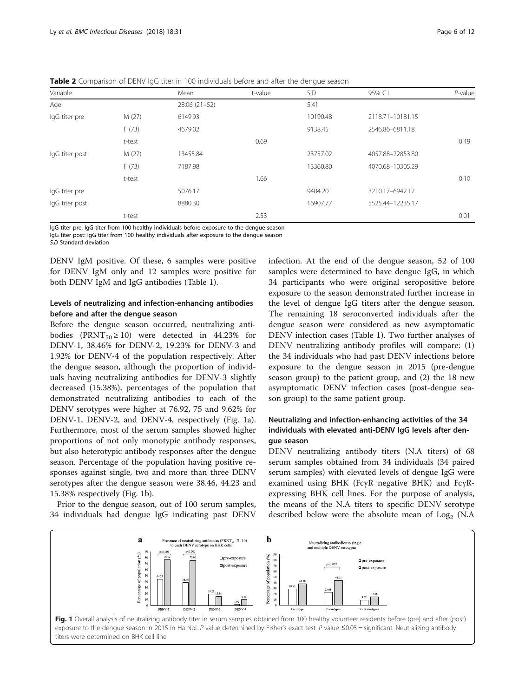<span id="page-5-0"></span>Table 2 Comparison of DENV IgG titer in 100 individuals before and after the dengue season

| Variable       |        | Mean          | t-value | S.D      | 95% C.I          | $P$ -value |
|----------------|--------|---------------|---------|----------|------------------|------------|
| Age            |        | 28.06 (21-52) |         | 5.41     |                  |            |
| IgG titer pre  | M (27) | 6149.93       |         | 10190.48 | 2118.71-10181.15 |            |
|                | F(73)  | 4679.02       |         | 9138.45  | 2546.86-6811.18  |            |
|                | t-test |               | 0.69    |          |                  | 0.49       |
| IgG titer post | M (27) | 13455.84      |         | 23757.02 | 4057.88-22853.80 |            |
|                | F(73)  | 7187.98       |         | 13360.80 | 4070.68-10305.29 |            |
|                | t-test |               | 1.66    |          |                  | 0.10       |
| IgG titer pre  |        | 5076.17       |         | 9404.20  | 3210.17-6942.17  |            |
| IgG titer post |        | 8880.30       |         | 16907.77 | 5525.44-12235.17 |            |
|                | t-test |               | 2.53    |          |                  | 0.01       |

IgG titer pre: IgG titer from 100 healthy individuals before exposure to the dengue season

IgG titer post: IgG titer from 100 healthy individuals after exposure to the dengue season

S.D Standard deviation

DENV IgM positive. Of these, 6 samples were positive for DENV IgM only and 12 samples were positive for both DENV IgM and IgG antibodies (Table [1](#page-4-0)).

# Levels of neutralizing and infection-enhancing antibodies before and after the dengue season

Before the dengue season occurred, neutralizing antibodies (PRNT<sub>50</sub>  $\geq$  10) were detected in 44.23% for DENV-1, 38.46% for DENV-2, 19.23% for DENV-3 and 1.92% for DENV-4 of the population respectively. After the dengue season, although the proportion of individuals having neutralizing antibodies for DENV-3 slightly decreased (15.38%), percentages of the population that demonstrated neutralizing antibodies to each of the DENV serotypes were higher at 76.92, 75 and 9.62% for DENV-1, DENV-2, and DENV-4, respectively (Fig. 1a). Furthermore, most of the serum samples showed higher proportions of not only monotypic antibody responses, but also heterotypic antibody responses after the dengue season. Percentage of the population having positive responses against single, two and more than three DENV serotypes after the dengue season were 38.46, 44.23 and 15.38% respectively (Fig. 1b).

Prior to the dengue season, out of 100 serum samples, 34 individuals had dengue IgG indicating past DENV infection. At the end of the dengue season, 52 of 100 samples were determined to have dengue IgG, in which 34 participants who were original seropositive before exposure to the season demonstrated further increase in the level of dengue IgG titers after the dengue season. The remaining 18 seroconverted individuals after the dengue season were considered as new asymptomatic DENV infection cases (Table [1](#page-4-0)). Two further analyses of DENV neutralizing antibody profiles will compare: (1) the 34 individuals who had past DENV infections before exposure to the dengue season in 2015 (pre-dengue season group) to the patient group, and (2) the 18 new asymptomatic DENV infection cases (post-dengue season group) to the same patient group.

# Neutralizing and infection-enhancing activities of the 34 individuals with elevated anti-DENV IgG levels after dengue season

DENV neutralizing antibody titers (N.A titers) of 68 serum samples obtained from 34 individuals (34 paired serum samples) with elevated levels of dengue IgG were examined using BHK (FcγR negative BHK) and FcγRexpressing BHK cell lines. For the purpose of analysis, the means of the N.A titers to specific DENV serotype described below were the absolute mean of  $Log<sub>2</sub>$  (N.A

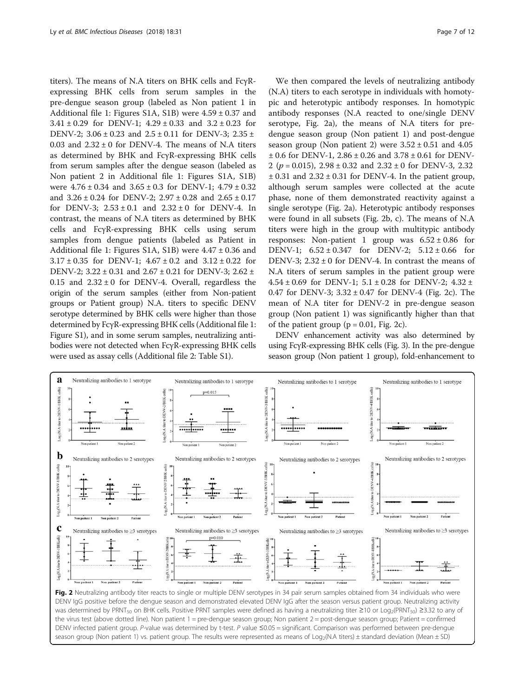titers). The means of N.A titers on BHK cells and FcγRexpressing BHK cells from serum samples in the pre-dengue season group (labeled as Non patient 1 in Additional file [1:](#page-10-0) Figures S1A, S1B) were  $4.59 \pm 0.37$  and 3.41  $\pm$  0.29 for DENV-1; 4.29  $\pm$  0.33 and 3.2  $\pm$  0.23 for DENV-2; 3.06 ± 0.23 and 2.5 ± 0.11 for DENV-3; 2.35 ± 0.03 and  $2.32 \pm 0$  for DENV-4. The means of N.A titers as determined by BHK and FcγR-expressing BHK cells from serum samples after the dengue season (labeled as Non patient 2 in Additional file [1:](#page-10-0) Figures S1A, S1B) were 4.76 ± 0.34 and 3.65 ± 0.3 for DENV-1; 4.79 ± 0.32 and 3.26 ± 0.24 for DENV-2; 2.97 ± 0.28 and 2.65 ± 0.17 for DENV-3;  $2.53 \pm 0.1$  and  $2.32 \pm 0$  for DENV-4. In contrast, the means of N.A titers as determined by BHK cells and FcγR-expressing BHK cells using serum samples from dengue patients (labeled as Patient in Additional file [1:](#page-10-0) Figures S1A, S1B) were 4.47 ± 0.36 and  $3.17 \pm 0.35$  for DENV-1;  $4.67 \pm 0.2$  and  $3.12 \pm 0.22$  for DENV-2;  $3.22 \pm 0.31$  and  $2.67 \pm 0.21$  for DENV-3;  $2.62 \pm$ 0.15 and  $2.32 \pm 0$  for DENV-4. Overall, regardless the origin of the serum samples (either from Non-patient groups or Patient group) N.A. titers to specific DENV serotype determined by BHK cells were higher than those determined by FcγR-expressing BHK cells (Additional file [1](#page-10-0): Figure S1), and in some serum samples, neutralizing antibodies were not detected when FcγR-expressing BHK cells were used as assay cells (Additional file [2](#page-10-0): Table S1).

We then compared the levels of neutralizing antibody (N.A) titers to each serotype in individuals with homotypic and heterotypic antibody responses. In homotypic antibody responses (N.A reacted to one/single DENV serotype, Fig. 2a), the means of N.A titers for predengue season group (Non patient 1) and post-dengue season group (Non patient 2) were  $3.52 \pm 0.51$  and  $4.05$  $\pm$  0.6 for DENV-1, 2.86  $\pm$  0.26 and 3.78  $\pm$  0.61 for DENV-2 ( $p = 0.015$ ),  $2.98 \pm 0.32$  and  $2.32 \pm 0$  for DENV-3, 2.32  $\pm$  0.31 and 2.32  $\pm$  0.31 for DENV-4. In the patient group, although serum samples were collected at the acute phase, none of them demonstrated reactivity against a single serotype (Fig. 2a). Heterotypic antibody responses were found in all subsets (Fig. 2b, c). The means of N.A titers were high in the group with multitypic antibody responses: Non-patient 1 group was  $6.52 \pm 0.86$  for DENV-1;  $6.52 \pm 0.347$  for DENV-2;  $5.12 \pm 0.66$  for DENV-3;  $2.32 \pm 0$  for DENV-4. In contrast the means of N.A titers of serum samples in the patient group were  $4.54 \pm 0.69$  for DENV-1;  $5.1 \pm 0.28$  for DENV-2;  $4.32 \pm$ 0.47 for DENV-3;  $3.32 \pm 0.47$  for DENV-4 (Fig. 2c). The mean of N.A titer for DENV-2 in pre-dengue season group (Non patient 1) was significantly higher than that of the patient group ( $p = 0.01$ , Fig. 2c).

DENV enhancement activity was also determined by using FcγR-expressing BHK cells (Fig. [3](#page-7-0)). In the pre-dengue season group (Non patient 1 group), fold-enhancement to



DENV IgG positive before the dengue season and demonstrated elevated DENV IgG after the season versus patient group. Neutralizing activity was determined by PRNT<sub>50</sub> on BHK cells. Positive PRNT samples were defined as having a neutralizing titer ≥10 or Log<sub>2</sub>(PRNT<sub>50</sub>) ≥3.32 to any of the virus test (above dotted line). Non patient 1 = pre-dengue season group; Non patient 2 = post-dengue season group; Patient = confirmed DENV infected patient group. P-value was determined by t-test. P value ≤0.05 = significant. Comparison was performed between pre-dengue season group (Non patient 1) vs. patient group. The results were represented as means of Log<sub>2</sub>(N.A titers) ± standard deviation (Mean ± SD)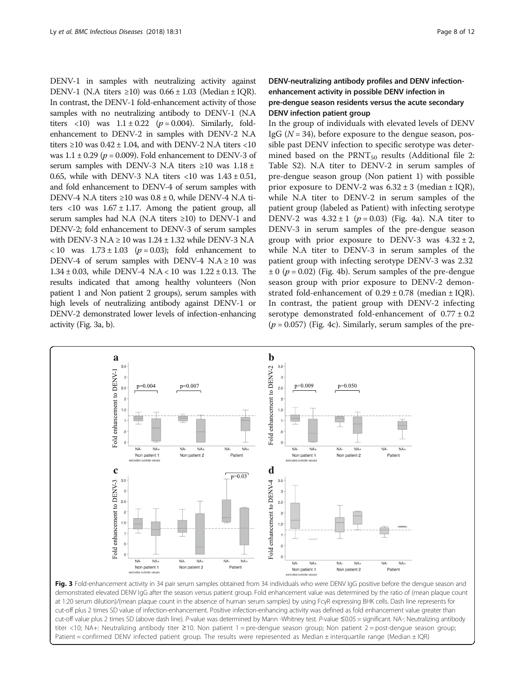<span id="page-7-0"></span>DENV-1 in samples with neutralizing activity against DENV-1 (N.A titers  $\geq 10$ ) was  $0.66 \pm 1.03$  (Median  $\pm$  IQR). In contrast, the DENV-1 fold-enhancement activity of those samples with no neutralizing antibody to DENV-1 (N.A titers <10) was  $1.1 \pm 0.22$  ( $p = 0.004$ ). Similarly, foldenhancement to DENV-2 in samples with DENV-2 N.A titers  $\geq$ 10 was 0.42 ± 1.04, and with DENV-2 N.A titers <10 was  $1.1 \pm 0.29$  ( $p = 0.009$ ). Fold enhancement to DENV-3 of serum samples with DENV-3 N.A titers  $\geq$ 10 was 1.18 ± 0.65, while with DENV-3 N.A titers  $\langle 10 \text{ was } 1.43 \pm 0.51$ , and fold enhancement to DENV-4 of serum samples with DENV-4 N.A titers  $\geq 10$  was  $0.8 \pm 0$ , while DENV-4 N.A titers  $\langle 10 \rangle$  was  $1.67 \pm 1.17$ . Among the patient group, all serum samples had N.A (N.A titers ≥10) to DENV-1 and DENV-2; fold enhancement to DENV-3 of serum samples with DENV-3 N.A  $\geq$  10 was 1.24  $\pm$  1.32 while DENV-3 N.A  $(10 \text{ was } 1.73 \pm 1.03)$  ( $p = 0.03$ ); fold enhancement to DENV-4 of serum samples with DENV-4 N.A  $\geq$  10 was 1.34  $\pm$  0.03, while DENV-4 N.A < 10 was 1.22  $\pm$  0.13. The results indicated that among healthy volunteers (Non patient 1 and Non patient 2 groups), serum samples with high levels of neutralizing antibody against DENV-1 or DENV-2 demonstrated lower levels of infection-enhancing activity (Fig. 3a, b).

# DENV-neutralizing antibody profiles and DENV infectionenhancement activity in possible DENV infection in pre-dengue season residents versus the acute secondary DENV infection patient group

In the group of individuals with elevated levels of DENV IgG  $(N = 34)$ , before exposure to the dengue season, possible past DENV infection to specific serotype was determined based on the PRNT $_{50}$  results (Additional file [2](#page-10-0): Table S2). N.A titer to DENV-2 in serum samples of pre-dengue season group (Non patient 1) with possible prior exposure to DENV-2 was  $6.32 \pm 3$  (median  $\pm$  IQR), while N.A titer to DENV-2 in serum samples of the patient group (labeled as Patient) with infecting serotype DENV-2 was  $4.32 \pm 1$  ( $p = 0.03$ ) (Fig. [4a](#page-8-0)). N.A titer to DENV-3 in serum samples of the pre-dengue season group with prior exposure to DENV-3 was  $4.32 \pm 2$ , while N.A titer to DENV-3 in serum samples of the patient group with infecting serotype DENV-3 was 2.32  $\pm 0$  ( $p = 0.02$ ) (Fig. [4b\)](#page-8-0). Serum samples of the pre-dengue season group with prior exposure to DENV-2 demonstrated fold-enhancement of  $0.29 \pm 0.78$  (median  $\pm$  IQR). In contrast, the patient group with DENV-2 infecting serotype demonstrated fold-enhancement of  $0.77 \pm 0.2$  $(p = 0.057)$  (Fig. [4c\)](#page-8-0). Similarly, serum samples of the pre-



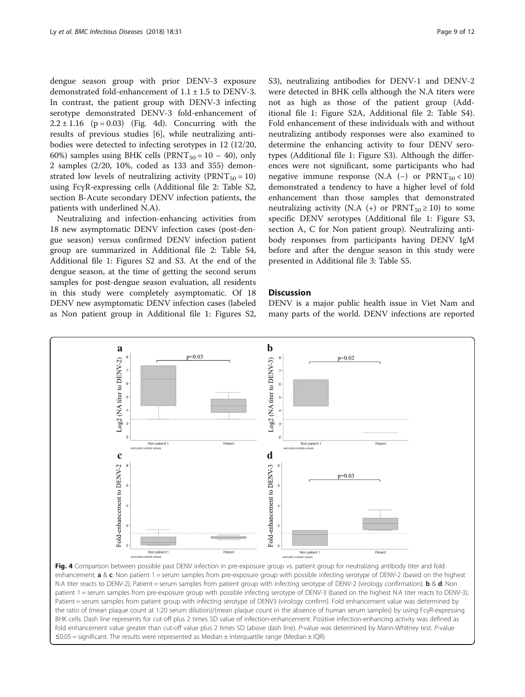<span id="page-8-0"></span>dengue season group with prior DENV-3 exposure demonstrated fold-enhancement of  $1.1 \pm 1.5$  to DENV-3. In contrast, the patient group with DENV-3 infecting serotype demonstrated DENV-3 fold-enhancement of  $2.2 \pm 1.16$  (p = 0.03) (Fig. 4d). Concurring with the results of previous studies [[6\]](#page-11-0), while neutralizing antibodies were detected to infecting serotypes in 12 (12/20, 60%) samples using BHK cells (PRNT<sub>50</sub> = 10 – 40), only 2 samples (2/20, 10%, coded as 133 and 355) demonstrated low levels of neutralizing activity ( $\text{PRNT}_{50} = 10$ ) using FcγR-expressing cells (Additional file [2](#page-10-0): Table S2, section B-Acute secondary DENV infection patients, the patients with underlined N.A).

Neutralizing and infection-enhancing activities from 18 new asymptomatic DENV infection cases (post-dengue season) versus confirmed DENV infection patient group are summarized in Additional file [2:](#page-10-0) Table S4, Additional file [1](#page-10-0): Figures S2 and S3. At the end of the dengue season, at the time of getting the second serum samples for post-dengue season evaluation, all residents in this study were completely asymptomatic. Of 18 DENV new asymptomatic DENV infection cases (labeled as Non patient group in Additional file [1](#page-10-0): Figures S2,

S3), neutralizing antibodies for DENV-1 and DENV-2 were detected in BHK cells although the N.A titers were not as high as those of the patient group (Additional file [1](#page-10-0): Figure S2A, Additional file [2](#page-10-0): Table S4). Fold enhancement of these individuals with and without neutralizing antibody responses were also examined to determine the enhancing activity to four DENV serotypes (Additional file [1](#page-10-0): Figure S3). Although the differences were not significant, some participants who had negative immune response (N.A  $(-)$  or PRNT<sub>50</sub> < 10) demonstrated a tendency to have a higher level of fold enhancement than those samples that demonstrated neutralizing activity (N.A (+) or  $PRNT_{50} \ge 10$ ) to some specific DENV serotypes (Additional file [1](#page-10-0): Figure S3, section A, C for Non patient group). Neutralizing antibody responses from participants having DENV IgM before and after the dengue season in this study were presented in Additional file [3:](#page-10-0) Table S5.

# **Discussion**

DENV is a major public health issue in Viet Nam and many parts of the world. DENV infections are reported



Patient = serum samples from patient group with infecting serotype of DENV3 (virology confirm). Fold enhancement value was determined by the ratio of (mean plaque count at 1:20 serum dilution)/(mean plaque count in the absence of human serum samples) by using FcγR-expressing BHK cells. Dash line represents for cut-off plus 2 times SD value of infection-enhancement. Positive infection-enhancing activity was defined as fold enhancement value greater than cut-off value plus 2 times SD (above dash line). P-value was determined by Mann-Whitney test. P-value ≤0.05 = significant. The results were represented as Median ± interquartile range (Median ± IQR)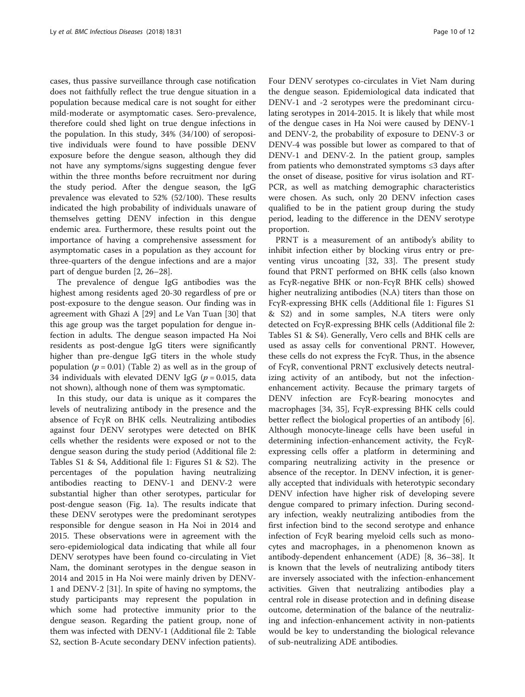cases, thus passive surveillance through case notification does not faithfully reflect the true dengue situation in a population because medical care is not sought for either mild-moderate or asymptomatic cases. Sero-prevalence, therefore could shed light on true dengue infections in the population. In this study, 34% (34/100) of seropositive individuals were found to have possible DENV exposure before the dengue season, although they did not have any symptoms/signs suggesting dengue fever within the three months before recruitment nor during the study period. After the dengue season, the IgG prevalence was elevated to 52% (52/100). These results indicated the high probability of individuals unaware of themselves getting DENV infection in this dengue endemic area. Furthermore, these results point out the importance of having a comprehensive assessment for asymptomatic cases in a population as they account for three-quarters of the dengue infections and are a major part of dengue burden [[2, 26](#page-11-0)–[28](#page-11-0)].

The prevalence of dengue IgG antibodies was the highest among residents aged 20-30 regardless of pre or post-exposure to the dengue season. Our finding was in agreement with Ghazi A [\[29\]](#page-11-0) and Le Van Tuan [\[30](#page-11-0)] that this age group was the target population for dengue infection in adults. The dengue season impacted Ha Noi residents as post-dengue IgG titers were significantly higher than pre-dengue IgG titers in the whole study population ( $p = 0.01$ ) (Table [2\)](#page-5-0) as well as in the group of 34 individuals with elevated DENV IgG ( $p = 0.015$ , data not shown), although none of them was symptomatic.

In this study, our data is unique as it compares the levels of neutralizing antibody in the presence and the absence of FcγR on BHK cells. Neutralizing antibodies against four DENV serotypes were detected on BHK cells whether the residents were exposed or not to the dengue season during the study period (Additional file [2](#page-10-0): Tables S1 & S4, Additional file [1](#page-10-0): Figures S1 & S2). The percentages of the population having neutralizing antibodies reacting to DENV-1 and DENV-2 were substantial higher than other serotypes, particular for post-dengue season (Fig. [1a](#page-5-0)). The results indicate that these DENV serotypes were the predominant serotypes responsible for dengue season in Ha Noi in 2014 and 2015. These observations were in agreement with the sero-epidemiological data indicating that while all four DENV serotypes have been found co-circulating in Viet Nam, the dominant serotypes in the dengue season in 2014 and 2015 in Ha Noi were mainly driven by DENV-1 and DENV-2 [\[31\]](#page-11-0). In spite of having no symptoms, the study participants may represent the population in which some had protective immunity prior to the dengue season. Regarding the patient group, none of them was infected with DENV-1 (Additional file [2](#page-10-0): Table S2, section B-Acute secondary DENV infection patients).

Four DENV serotypes co-circulates in Viet Nam during the dengue season. Epidemiological data indicated that DENV-1 and -2 serotypes were the predominant circulating serotypes in 2014-2015. It is likely that while most of the dengue cases in Ha Noi were caused by DENV-1 and DENV-2, the probability of exposure to DENV-3 or DENV-4 was possible but lower as compared to that of DENV-1 and DENV-2. In the patient group, samples from patients who demonstrated symptoms ≤3 days after the onset of disease, positive for virus isolation and RT-PCR, as well as matching demographic characteristics were chosen. As such, only 20 DENV infection cases qualified to be in the patient group during the study period, leading to the difference in the DENV serotype proportion.

PRNT is a measurement of an antibody's ability to inhibit infection either by blocking virus entry or preventing virus uncoating [[32, 33\]](#page-11-0). The present study found that PRNT performed on BHK cells (also known as FcγR-negative BHK or non-FcγR BHK cells) showed higher neutralizing antibodies (N.A) titers than those on FcγR-expressing BHK cells (Additional file [1:](#page-10-0) Figures S1 & S2) and in some samples, N.A titers were only detected on FcγR-expressing BHK cells (Additional file [2](#page-10-0): Tables S1 & S4). Generally, Vero cells and BHK cells are used as assay cells for conventional PRNT. However, these cells do not express the FcγR. Thus, in the absence of FcγR, conventional PRNT exclusively detects neutralizing activity of an antibody, but not the infectionenhancement activity. Because the primary targets of DENV infection are FcγR-bearing monocytes and macrophages [\[34](#page-11-0), [35](#page-11-0)], FcγR-expressing BHK cells could better reflect the biological properties of an antibody [\[6](#page-11-0)]. Although monocyte-lineage cells have been useful in determining infection-enhancement activity, the FcγRexpressing cells offer a platform in determining and comparing neutralizing activity in the presence or absence of the receptor. In DENV infection, it is generally accepted that individuals with heterotypic secondary DENV infection have higher risk of developing severe dengue compared to primary infection. During secondary infection, weakly neutralizing antibodies from the first infection bind to the second serotype and enhance infection of FcγR bearing myeloid cells such as monocytes and macrophages, in a phenomenon known as antibody-dependent enhancement (ADE) [[8, 36](#page-11-0)–[38](#page-11-0)]. It is known that the levels of neutralizing antibody titers are inversely associated with the infection-enhancement activities. Given that neutralizing antibodies play a central role in disease protection and in defining disease outcome, determination of the balance of the neutralizing and infection-enhancement activity in non-patients would be key to understanding the biological relevance of sub-neutralizing ADE antibodies.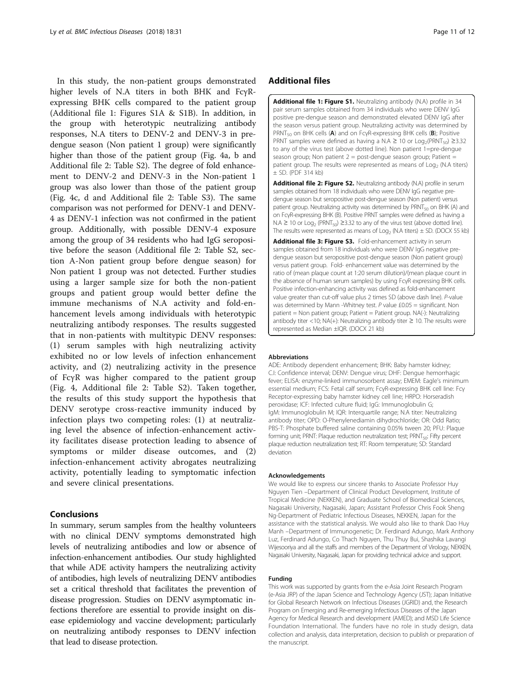<span id="page-10-0"></span>In this study, the non-patient groups demonstrated higher levels of N.A titers in both BHK and FcγRexpressing BHK cells compared to the patient group (Additional file 1: Figures S1A & S1B). In addition, in the group with heterotypic neutralizing antibody responses, N.A titers to DENV-2 and DENV-3 in predengue season (Non patient 1 group) were significantly higher than those of the patient group (Fig. [4a, b](#page-8-0) and Additional file 2: Table S2). The degree of fold enhancement to DENV-2 and DENV-3 in the Non-patient 1 group was also lower than those of the patient group (Fig. [4c, d](#page-8-0) and Additional file 2: Table S3). The same comparison was not performed for DENV-1 and DENV-4 as DENV-1 infection was not confirmed in the patient group. Additionally, with possible DENV-4 exposure among the group of 34 residents who had IgG seropositive before the season (Additional file 2: Table S2, section A-Non patient group before dengue season) for Non patient 1 group was not detected. Further studies using a larger sample size for both the non-patient groups and patient group would better define the immune mechanisms of N.A activity and fold-enhancement levels among individuals with heterotypic neutralizing antibody responses. The results suggested that in non-patients with multitypic DENV responses: (1) serum samples with high neutralizing activity exhibited no or low levels of infection enhancement activity, and (2) neutralizing activity in the presence of FcγR was higher compared to the patient group (Fig. [4](#page-8-0), Additional file 2: Table S2). Taken together, the results of this study support the hypothesis that DENV serotype cross-reactive immunity induced by infection plays two competing roles: (1) at neutralizing level the absence of infection-enhancement activity facilitates disease protection leading to absence of symptoms or milder disease outcomes, and (2) infection-enhancement activity abrogates neutralizing activity, potentially leading to symptomatic infection and severe clinical presentations.

# Conclusions

In summary, serum samples from the healthy volunteers with no clinical DENV symptoms demonstrated high levels of neutralizing antibodies and low or absence of infection-enhancement antibodies. Our study highlighted that while ADE activity hampers the neutralizing activity of antibodies, high levels of neutralizing DENV antibodies set a critical threshold that facilitates the prevention of disease progression. Studies on DENV asymptomatic infections therefore are essential to provide insight on disease epidemiology and vaccine development; particularly on neutralizing antibody responses to DENV infection that lead to disease protection.

# Additional files

[Additional file 1: Figure S1.](dx.doi.org/10.1186/s12879-017-2894-7) Neutralizing antibody (N.A) profile in 34 pair serum samples obtained from 34 individuals who were DENV IgG positive pre-dengue season and demonstrated elevated DENV IgG after the season versus patient group. Neutralizing activity was determined by PRNT50 on BHK cells (A) and on FcγR-expressing BHK cells (B); Positive PRNT samples were defined as having a N.A  $\geq$  10 or Log<sub>2</sub>(PRNT<sub>50</sub>)  $\geq$ 3.32 to any of the virus test (above dotted line). Non patient 1=pre-dengue season group; Non patient  $2 =$  post-dengue season group; Patient  $=$ patient group. The results were represented as means of  $Log<sub>2</sub>$  (N.A titers) ± SD. (PDF 314 kb)

[Additional file 2: Figure S2.](dx.doi.org/10.1186/s12879-017-2894-7) Neutralizing antibody (N.A) profile in serum samples obtained from 18 individuals who were DENV IgG negative predengue season but seropositive post-dengue season (Non patient) versus patient group. Neutralizing activity was determined by PRNT<sub>50</sub> on BHK (A) and on FcγR-expressing BHK (B). Positive PRNT samples were defined as having a  $NA \ge 10$  or Log<sub>2</sub> (PRNT<sub>50</sub>) ≥3.32 to any of the virus test (above dotted line). The results were represented as means of  $Log_2$  (N.A titers)  $\pm$  SD. (DOCX 55 kb)

[Additional file 3: Figure S3.](dx.doi.org/10.1186/s12879-017-2894-7) Fold-enhancement activity in serum samples obtained from 18 individuals who were DENV IgG negative predengue season but seropositive post-dengue season (Non patient group) versus patient group. Fold- enhancement value was determined by the ratio of (mean plaque count at 1:20 serum dilution)/(mean plaque count in the absence of human serum samples) by using FcγR expressing BHK cells. Positive infection-enhancing activity was defined as fold-enhancement value greater than cut-off value plus 2 times SD (above dash line). P-value was determined by Mann -Whitney test.  $P$  value  $£0.05 =$  significant. Non patient = Non patient group; Patient = Patient group. NA(-): Neutralizing antibody titer <10; NA(+): Neutralizing antibody titer  $\geq$  10. The results were represented as Median ±IQR. (DOCX 21 kb)

#### Abbreviations

ADE: Antibody dependent enhancement; BHK: Baby hamster kidney; C.I: Confidence interval; DENV: Dengue virus; DHF: Dengue hemorrhagic fever; ELISA: enzyme-linked immunosorbent assay; EMEM: Eagle's minimum essential medium; FCS: Fetal calf serum; FcγR-expressing BHK cell line: Fcγ Receptor-expressing baby hamster kidney cell line; HRPO: Horseradish peroxidase; ICF: Infected culture fluid; IgG: Immunoglobulin G; IgM: Immunoglobulin M; IQR: Interquartile range; N.A titer: Neutralizing antibody titer; OPD: O-Phenylenediamin dihydrochloride; OR: Odd Ratio; PBS-T: Phosphate buffered saline containing 0.05% tween 20; PFU: Plaque forming unit; PRNT: Plaque reduction neutralization test; PRNT<sub>50</sub>: Fifty percent plaque reduction neutralization test; RT: Room temperature; SD: Standard deviation

#### Acknowledgements

We would like to express our sincere thanks to Associate Professor Huy Nguyen Tien –Department of Clinical Product Development, Institute of Tropical Medicine (NEKKEN), and Graduate School of Biomedical Sciences, Nagasaki University, Nagasaki, Japan; Assistant Professor Chris Fook Sheng Ng-Department of Pediatric Infectious Diseases, NEKKEN, Japan for the assistance with the statistical analysis. We would also like to thank Dao Huy Manh –Department of Immunogenetic; Dr. Ferdinard Adungo, Mark Anthony Luz, Ferdinard Adungo, Co Thach Nguyen, Thu Thuy Bui, Shashika Lavangi Wijesooriya and all the staffs and members of the Department of Virology, NEKKEN, Nagasaki University, Nagasaki, Japan for providing technical advice and support.

# Funding

This work was supported by grants from the e-Asia Joint Research Program (e-Asia JRP) of the Japan Science and Technology Agency (JST); Japan Initiative for Global Research Network on Infectious Diseases (JGRID) and, the Research Program on Emerging and Re-emerging Infectious Diseases of the Japan Agency for Medical Research and development (AMED); and MSD Life Science Foundation International. The funders have no role in study design, data collection and analysis, data interpretation, decision to publish or preparation of the manuscript.